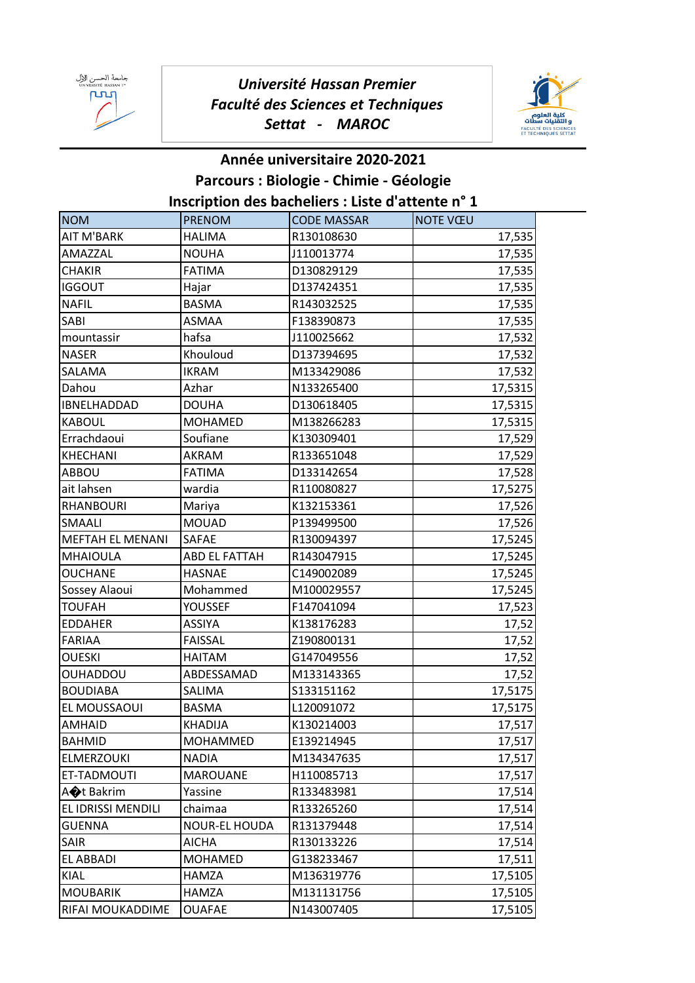

## *Université Hassan Premier Faculté des Sciences et Techniques Settat - MAROC*



## **Année universitaire 2020-2021 Parcours : Biologie - Chimie - Géologie Inscription des bacheliers : Liste d'attente n° 1**

| <b>NOM</b>            | <b>PRENOM</b>        | <b>CODE MASSAR</b> | <b>NOTE VŒU</b> |
|-----------------------|----------------------|--------------------|-----------------|
| AIT M'BARK            | <b>HALIMA</b>        | R130108630         | 17,535          |
| AMAZZAL               | <b>NOUHA</b>         | J110013774         | 17,535          |
| <b>CHAKIR</b>         | <b>FATIMA</b>        | D130829129         | 17,535          |
| <b>IGGOUT</b>         | Hajar                | D137424351         | 17,535          |
| <b>NAFIL</b>          | <b>BASMA</b>         | R143032525         | 17,535          |
| SABI                  | ASMAA                | F138390873         | 17,535          |
| mountassir            | hafsa                | J110025662         | 17,532          |
| <b>NASER</b>          | Khouloud             | D137394695         | 17,532          |
| SALAMA                | <b>IKRAM</b>         | M133429086         | 17,532          |
| Dahou                 | Azhar                | N133265400         | 17,5315         |
| IBNELHADDAD           | <b>DOUHA</b>         | D130618405         | 17,5315         |
| <b>KABOUL</b>         | <b>MOHAMED</b>       | M138266283         | 17,5315         |
| Errachdaoui           | Soufiane             | K130309401         | 17,529          |
| KHECHANI              | AKRAM                | R133651048         | 17,529          |
| ABBOU                 | <b>FATIMA</b>        | D133142654         | 17,528          |
| ait lahsen            | wardia               | R110080827         | 17,5275         |
| <b>RHANBOURI</b>      | Mariya               | K132153361         | 17,526          |
| SMAALI                | <b>MOUAD</b>         | P139499500         | 17,526          |
| MEFTAH EL MENANI      | SAFAE                | R130094397         | 17,5245         |
| <b>MHAIOULA</b>       | <b>ABD EL FATTAH</b> | R143047915         | 17,5245         |
| <b>OUCHANE</b>        | <b>HASNAE</b>        | C149002089         | 17,5245         |
| Sossey Alaoui         | Mohammed             | M100029557         | 17,5245         |
| <b>TOUFAH</b>         | YOUSSEF              | F147041094         | 17,523          |
| <b>EDDAHER</b>        | <b>ASSIYA</b>        | K138176283         | 17,52           |
| FARIAA                | <b>FAISSAL</b>       | Z190800131         | 17,52           |
| OUESKI                | <b>HAITAM</b>        | G147049556         | 17,52           |
| OUHADDOU              | ABDESSAMAD           | M133143365         | 17,52           |
| <b>BOUDIABA</b>       | SALIMA               | S133151162         | 17,5175         |
| EL MOUSSAOUI          | <b>BASMA</b>         | L120091072         | 17,5175         |
| <b>AMHAID</b>         | <b>KHADIJA</b>       | K130214003         | 17,517          |
| <b>BAHMID</b>         | <b>MOHAMMED</b>      | E139214945         | 17,517          |
| <b>ELMERZOUKI</b>     | <b>NADIA</b>         | M134347635         | 17,517          |
| ET-TADMOUTI           | <b>MAROUANE</b>      | H110085713         | 17,517          |
| A <sup>t</sup> Bakrim | Yassine              | R133483981         | 17,514          |
| EL IDRISSI MENDILI    | chaimaa              | R133265260         | 17,514          |
| <b>GUENNA</b>         | NOUR-EL HOUDA        | R131379448         | 17,514          |
| SAIR                  | <b>AICHA</b>         | R130133226         | 17,514          |
| EL ABBADI             | <b>MOHAMED</b>       | G138233467         | 17,511          |
| KIAL                  | HAMZA                | M136319776         | 17,5105         |
| <b>MOUBARIK</b>       | HAMZA                | M131131756         | 17,5105         |
| RIFAI MOUKADDIME      | <b>OUAFAE</b>        | N143007405         | 17,5105         |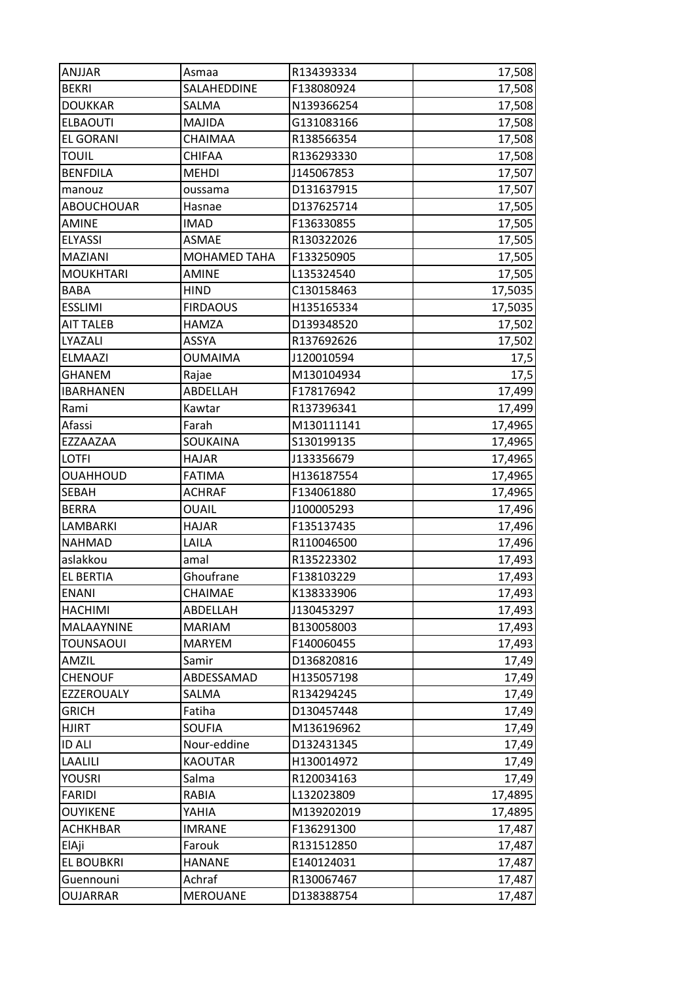| ANJJAR            | Asmaa           | R134393334 | 17,508  |
|-------------------|-----------------|------------|---------|
| <b>BEKRI</b>      | SALAHEDDINE     | F138080924 | 17,508  |
| <b>DOUKKAR</b>    | SALMA           | N139366254 | 17,508  |
| <b>ELBAOUTI</b>   | MAJIDA          | G131083166 | 17,508  |
| <b>EL GORANI</b>  | CHAIMAA         | R138566354 | 17,508  |
| <b>TOUIL</b>      | CHIFAA          | R136293330 | 17,508  |
| <b>BENFDILA</b>   | <b>MEHDI</b>    | J145067853 | 17,507  |
| manouz            | oussama         | D131637915 | 17,507  |
| <b>ABOUCHOUAR</b> | Hasnae          | D137625714 | 17,505  |
| <b>AMINE</b>      | <b>IMAD</b>     | F136330855 | 17,505  |
| <b>ELYASSI</b>    | ASMAE           | R130322026 | 17,505  |
| MAZIANI           | MOHAMED TAHA    | F133250905 | 17,505  |
| <b>MOUKHTARI</b>  | <b>AMINE</b>    | L135324540 | 17,505  |
| <b>BABA</b>       | <b>HIND</b>     | C130158463 | 17,5035 |
| <b>ESSLIMI</b>    | <b>FIRDAOUS</b> | H135165334 | 17,5035 |
| <b>AIT TALEB</b>  | <b>HAMZA</b>    | D139348520 | 17,502  |
| LYAZALI           | ASSYA           | R137692626 | 17,502  |
| <b>ELMAAZI</b>    | <b>OUMAIMA</b>  | J120010594 | 17,5    |
| <b>GHANEM</b>     | Rajae           | M130104934 | 17,5    |
| <b>IBARHANEN</b>  | ABDELLAH        | F178176942 | 17,499  |
| Rami              | Kawtar          | R137396341 | 17,499  |
| Afassi            | Farah           | M130111141 | 17,4965 |
| EZZAAZAA          | SOUKAINA        | S130199135 | 17,4965 |
| <b>LOTFI</b>      | <b>HAJAR</b>    | J133356679 | 17,4965 |
| <b>OUAHHOUD</b>   | <b>FATIMA</b>   | H136187554 | 17,4965 |
| <b>SEBAH</b>      | <b>ACHRAF</b>   | F134061880 | 17,4965 |
| <b>BERRA</b>      | <b>OUAIL</b>    | J100005293 | 17,496  |
| LAMBARKI          | <b>HAJAR</b>    | F135137435 | 17,496  |
| <b>NAHMAD</b>     | LAILA           | R110046500 | 17,496  |
| aslakkou          | amal            | R135223302 | 17,493  |
| <b>EL BERTIA</b>  | Ghoufrane       | F138103229 | 17,493  |
| <b>ENANI</b>      | CHAIMAE         | K138333906 | 17,493  |
| <b>HACHIMI</b>    | ABDELLAH        | J130453297 | 17,493  |
| MALAAYNINE        | <b>MARIAM</b>   | B130058003 | 17,493  |
| <b>TOUNSAOUI</b>  | <b>MARYEM</b>   | F140060455 | 17,493  |
| AMZIL             | Samir           | D136820816 | 17,49   |
| <b>CHENOUF</b>    | ABDESSAMAD      | H135057198 | 17,49   |
| EZZEROUALY        | SALMA           | R134294245 | 17,49   |
| <b>GRICH</b>      | Fatiha          | D130457448 | 17,49   |
| <b>HJIRT</b>      | <b>SOUFIA</b>   | M136196962 | 17,49   |
| <b>ID ALI</b>     | Nour-eddine     | D132431345 | 17,49   |
| LAALILI           | <b>KAOUTAR</b>  | H130014972 | 17,49   |
| YOUSRI            | Salma           | R120034163 | 17,49   |
| <b>FARIDI</b>     | <b>RABIA</b>    | L132023809 | 17,4895 |
| <b>OUYIKENE</b>   | YAHIA           | M139202019 | 17,4895 |
| <b>ACHKHBAR</b>   | <b>IMRANE</b>   | F136291300 | 17,487  |
| ElAji             | Farouk          | R131512850 | 17,487  |
| EL BOUBKRI        | <b>HANANE</b>   | E140124031 | 17,487  |
| Guennouni         | Achraf          | R130067467 | 17,487  |
| <b>OUJARRAR</b>   | <b>MEROUANE</b> | D138388754 | 17,487  |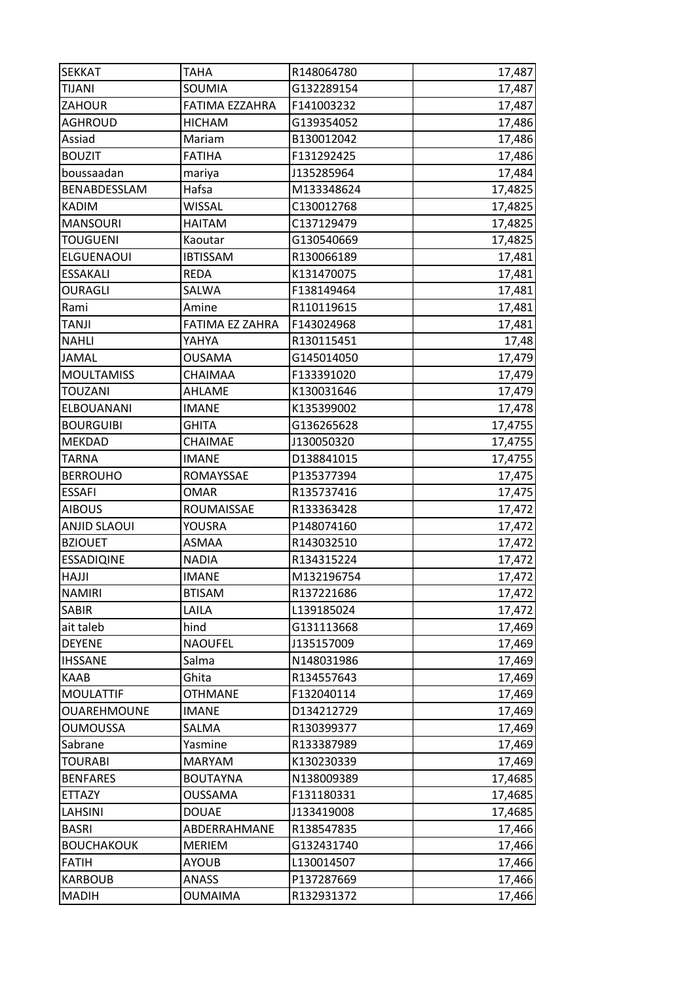| <b>SEKKAT</b>       | <b>TAHA</b>     | R148064780 | 17,487  |
|---------------------|-----------------|------------|---------|
| TIJANI              | SOUMIA          | G132289154 | 17,487  |
| ZAHOUR              | FATIMA EZZAHRA  | F141003232 | 17,487  |
| <b>AGHROUD</b>      | <b>HICHAM</b>   | G139354052 | 17,486  |
| Assiad              | Mariam          | B130012042 | 17,486  |
| <b>BOUZIT</b>       | <b>FATIHA</b>   | F131292425 | 17,486  |
| boussaadan          | mariya          | J135285964 | 17,484  |
| BENABDESSLAM        | Hafsa           | M133348624 | 17,4825 |
| <b>KADIM</b>        | <b>WISSAL</b>   | C130012768 | 17,4825 |
| <b>MANSOURI</b>     | HAITAM          | C137129479 | 17,4825 |
| <b>TOUGUENI</b>     | Kaoutar         | G130540669 | 17,4825 |
| ELGUENAOUI          | <b>IBTISSAM</b> | R130066189 | 17,481  |
| <b>ESSAKALI</b>     | <b>REDA</b>     | K131470075 | 17,481  |
| <b>OURAGLI</b>      | SALWA           | F138149464 | 17,481  |
| Rami                | Amine           | R110119615 | 17,481  |
| TANJI               | FATIMA EZ ZAHRA | F143024968 | 17,481  |
| <b>NAHLI</b>        | YAHYA           | R130115451 | 17,48   |
| <b>JAMAL</b>        | OUSAMA          | G145014050 | 17,479  |
| <b>MOULTAMISS</b>   | CHAIMAA         | F133391020 | 17,479  |
| TOUZANI             | AHLAME          | K130031646 | 17,479  |
| ELBOUANANI          | <b>IMANE</b>    | K135399002 | 17,478  |
| <b>BOURGUIBI</b>    | <b>GHITA</b>    | G136265628 | 17,4755 |
| <b>MEKDAD</b>       | CHAIMAE         | J130050320 | 17,4755 |
| <b>TARNA</b>        | <b>IMANE</b>    | D138841015 | 17,4755 |
| <b>BERROUHO</b>     | ROMAYSSAE       | P135377394 | 17,475  |
| <b>ESSAFI</b>       | <b>OMAR</b>     | R135737416 | 17,475  |
| <b>AIBOUS</b>       | ROUMAISSAE      | R133363428 | 17,472  |
| <b>ANJID SLAOUI</b> | YOUSRA          | P148074160 | 17,472  |
| <b>BZIOUET</b>      | ASMAA           | R143032510 | 17,472  |
| <b>ESSADIQINE</b>   | NADIA           | R134315224 | 17,472  |
| <b>HAJJI</b>        | <b>IMANE</b>    | M132196754 | 17,472  |
| <b>NAMIRI</b>       | <b>BTISAM</b>   | R137221686 | 17,472  |
| <b>SABIR</b>        | LAILA           | L139185024 | 17,472  |
| ait taleb           | hind            | G131113668 | 17,469  |
| <b>DEYENE</b>       | <b>NAOUFEL</b>  | J135157009 | 17,469  |
| <b>IHSSANE</b>      | Salma           | N148031986 | 17,469  |
| KAAB                | Ghita           | R134557643 | 17,469  |
| <b>MOULATTIF</b>    | <b>OTHMANE</b>  | F132040114 | 17,469  |
| OUAREHMOUNE         | <b>IMANE</b>    | D134212729 | 17,469  |
| <b>OUMOUSSA</b>     | SALMA           | R130399377 | 17,469  |
| Sabrane             | Yasmine         | R133387989 | 17,469  |
| <b>TOURABI</b>      | <b>MARYAM</b>   | K130230339 | 17,469  |
| <b>BENFARES</b>     | <b>BOUTAYNA</b> | N138009389 | 17,4685 |
| ETTAZY              | <b>OUSSAMA</b>  | F131180331 | 17,4685 |
| LAHSINI             | <b>DOUAE</b>    | J133419008 | 17,4685 |
| <b>BASRI</b>        | ABDERRAHMANE    | R138547835 | 17,466  |
| <b>BOUCHAKOUK</b>   | <b>MERIEM</b>   | G132431740 | 17,466  |
| <b>FATIH</b>        | <b>AYOUB</b>    | L130014507 | 17,466  |
|                     |                 |            |         |
| <b>KARBOUB</b>      | <b>ANASS</b>    | P137287669 | 17,466  |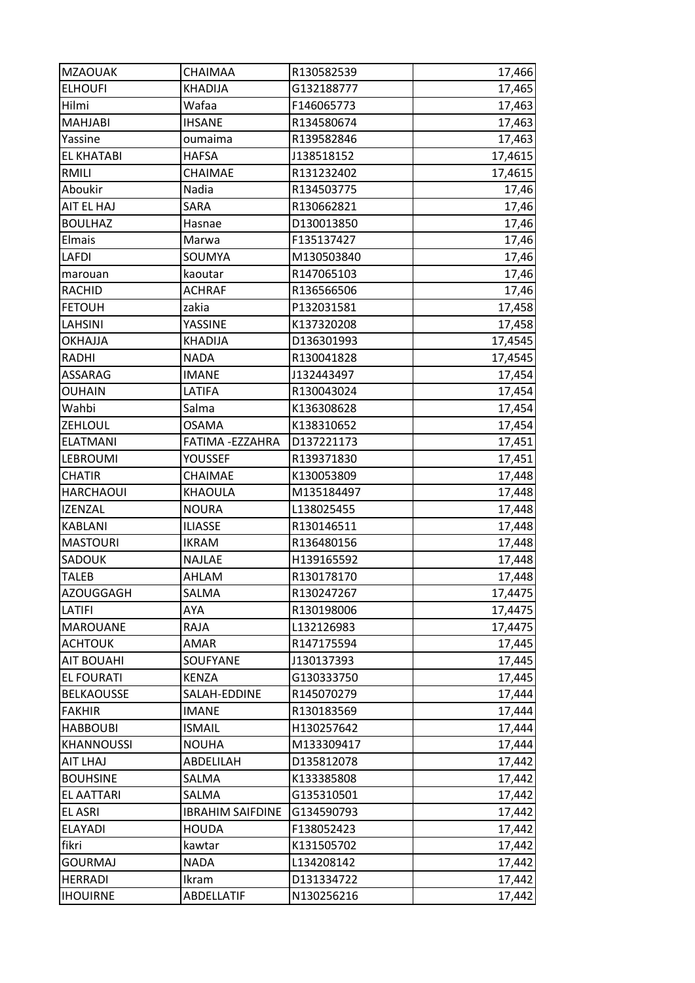| <b>MZAOUAK</b>    | <b>CHAIMAA</b>          | R130582539 | 17,466  |
|-------------------|-------------------------|------------|---------|
| <b>ELHOUFI</b>    | <b>KHADIJA</b>          | G132188777 | 17,465  |
| Hilmi             | Wafaa                   | F146065773 | 17,463  |
| <b>MAHJABI</b>    | <b>IHSANE</b>           | R134580674 | 17,463  |
| Yassine           | oumaima                 | R139582846 | 17,463  |
| <b>EL KHATABI</b> | <b>HAFSA</b>            | J138518152 | 17,4615 |
| RMILI             | CHAIMAE                 | R131232402 | 17,4615 |
| Aboukir           | Nadia                   | R134503775 | 17,46   |
| AIT EL HAJ        | SARA                    | R130662821 | 17,46   |
| <b>BOULHAZ</b>    | Hasnae                  | D130013850 | 17,46   |
| Elmais            | Marwa                   | F135137427 | 17,46   |
| <b>LAFDI</b>      | SOUMYA                  | M130503840 | 17,46   |
| marouan           | kaoutar                 | R147065103 | 17,46   |
| <b>RACHID</b>     | <b>ACHRAF</b>           | R136566506 | 17,46   |
| <b>FETOUH</b>     | zakia                   | P132031581 | 17,458  |
| LAHSINI           | <b>YASSINE</b>          | K137320208 | 17,458  |
| <b>OKHAJJA</b>    | <b>KHADIJA</b>          | D136301993 | 17,4545 |
| RADHI             | NADA                    | R130041828 | 17,4545 |
| ASSARAG           | <b>IMANE</b>            | J132443497 | 17,454  |
| OUHAIN            | LATIFA                  | R130043024 | 17,454  |
| Wahbi             | Salma                   | K136308628 | 17,454  |
| ZEHLOUL           | <b>OSAMA</b>            | K138310652 | 17,454  |
| <b>ELATMANI</b>   | FATIMA - EZZAHRA        | D137221173 | 17,451  |
| <b>LEBROUMI</b>   | YOUSSEF                 | R139371830 | 17,451  |
| <b>CHATIR</b>     | CHAIMAE                 | K130053809 | 17,448  |
| <b>HARCHAOUI</b>  | KHAOULA                 | M135184497 | 17,448  |
| <b>IZENZAL</b>    | <b>NOURA</b>            | L138025455 | 17,448  |
| <b>KABLANI</b>    | <b>ILIASSE</b>          | R130146511 | 17,448  |
| <b>MASTOURI</b>   | <b>IKRAM</b>            | R136480156 | 17,448  |
| SADOUK            | <b>NAJLAE</b>           | H139165592 | 17,448  |
| <b>TALEB</b>      | AHLAM                   | R130178170 | 17,448  |
| <b>AZOUGGAGH</b>  | SALMA                   | R130247267 | 17,4475 |
| LATIFI            | AYA                     | R130198006 | 17,4475 |
| <b>MAROUANE</b>   | RAJA                    | L132126983 | 17,4475 |
| <b>ACHTOUK</b>    | AMAR                    | R147175594 | 17,445  |
| <b>AIT BOUAHI</b> | SOUFYANE                | J130137393 | 17,445  |
| <b>EL FOURATI</b> | <b>KENZA</b>            | G130333750 | 17,445  |
| <b>BELKAOUSSE</b> | SALAH-EDDINE            | R145070279 | 17,444  |
| <b>FAKHIR</b>     | <b>IMANE</b>            | R130183569 | 17,444  |
| <b>HABBOUBI</b>   | <b>ISMAIL</b>           | H130257642 | 17,444  |
| <b>KHANNOUSSI</b> | <b>NOUHA</b>            | M133309417 | 17,444  |
| AIT LHAJ          | ABDELILAH               | D135812078 | 17,442  |
| <b>BOUHSINE</b>   | SALMA                   | K133385808 | 17,442  |
| <b>EL AATTARI</b> | SALMA                   | G135310501 | 17,442  |
| <b>EL ASRI</b>    | <b>IBRAHIM SAIFDINE</b> | G134590793 | 17,442  |
| <b>ELAYADI</b>    | <b>HOUDA</b>            | F138052423 | 17,442  |
| fikri             | kawtar                  | K131505702 | 17,442  |
| <b>GOURMAJ</b>    | <b>NADA</b>             | L134208142 | 17,442  |
| <b>HERRADI</b>    | Ikram                   | D131334722 | 17,442  |
| <b>IHOUIRNE</b>   | ABDELLATIF              | N130256216 | 17,442  |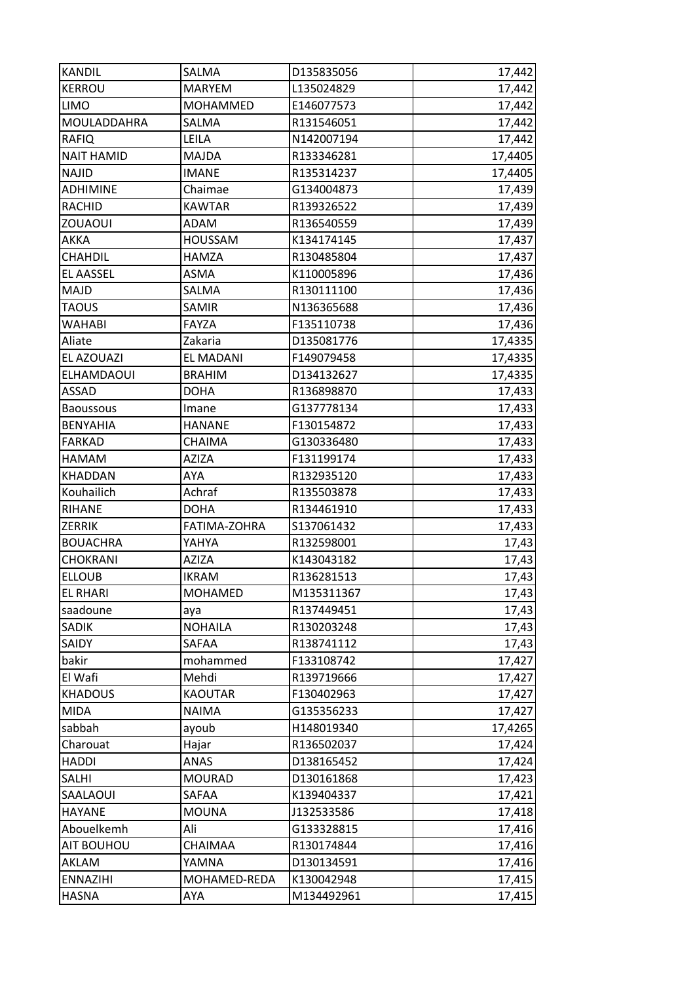| <b>KANDIL</b>     | SALMA            | D135835056 | 17,442  |
|-------------------|------------------|------------|---------|
| <b>KERROU</b>     | <b>MARYEM</b>    | L135024829 | 17,442  |
| <b>LIMO</b>       | <b>MOHAMMED</b>  | E146077573 | 17,442  |
| MOULADDAHRA       | SALMA            | R131546051 | 17,442  |
| <b>RAFIQ</b>      | LEILA            | N142007194 | 17,442  |
| <b>NAIT HAMID</b> | MAJDA            | R133346281 | 17,4405 |
| <b>NAJID</b>      | <b>IMANE</b>     | R135314237 | 17,4405 |
| <b>ADHIMINE</b>   | Chaimae          | G134004873 | 17,439  |
| <b>RACHID</b>     | <b>KAWTAR</b>    | R139326522 | 17,439  |
| <b>ZOUAOUI</b>    | ADAM             | R136540559 | 17,439  |
| AKKA              | <b>HOUSSAM</b>   | K134174145 | 17,437  |
| <b>CHAHDIL</b>    | <b>HAMZA</b>     | R130485804 | 17,437  |
| <b>EL AASSEL</b>  | ASMA             | K110005896 | 17,436  |
| MAJD              | SALMA            | R130111100 | 17,436  |
| <b>TAOUS</b>      | SAMIR            | N136365688 | 17,436  |
| <b>WAHABI</b>     | FAYZA            | F135110738 | 17,436  |
| Aliate            | Zakaria          | D135081776 | 17,4335 |
| EL AZOUAZI        | <b>EL MADANI</b> | F149079458 | 17,4335 |
| <b>ELHAMDAOUI</b> | <b>BRAHIM</b>    | D134132627 | 17,4335 |
| ASSAD             | <b>DOHA</b>      | R136898870 | 17,433  |
| <b>Baoussous</b>  | Imane            | G137778134 | 17,433  |
| <b>BENYAHIA</b>   | <b>HANANE</b>    | F130154872 | 17,433  |
| <b>FARKAD</b>     | CHAIMA           | G130336480 | 17,433  |
| HAMAM             | <b>AZIZA</b>     | F131199174 | 17,433  |
| <b>KHADDAN</b>    | AYA              | R132935120 | 17,433  |
| Kouhailich        | Achraf           | R135503878 | 17,433  |
| <b>RIHANE</b>     | <b>DOHA</b>      | R134461910 | 17,433  |
| <b>ZERRIK</b>     | FATIMA-ZOHRA     | S137061432 | 17,433  |
| <b>BOUACHRA</b>   | YAHYA            | R132598001 | 17,43   |
| <b>CHOKRANI</b>   | AZIZA            | K143043182 | 17,43   |
| <b>ELLOUB</b>     | IKRAM            | R136281513 | 17,43   |
| <b>EL RHARI</b>   | <b>MOHAMED</b>   | M135311367 | 17,43   |
| saadoune          | aya              | R137449451 | 17,43   |
| <b>SADIK</b>      | <b>NOHAILA</b>   | R130203248 | 17,43   |
| SAIDY             | SAFAA            | R138741112 | 17,43   |
| bakir             | mohammed         | F133108742 | 17,427  |
| El Wafi           | Mehdi            | R139719666 | 17,427  |
| <b>KHADOUS</b>    | <b>KAOUTAR</b>   | F130402963 | 17,427  |
| <b>MIDA</b>       | <b>NAIMA</b>     | G135356233 | 17,427  |
| sabbah            | ayoub            | H148019340 | 17,4265 |
| Charouat          | Hajar            | R136502037 | 17,424  |
| <b>HADDI</b>      | ANAS             | D138165452 | 17,424  |
| <b>SALHI</b>      | <b>MOURAD</b>    | D130161868 | 17,423  |
| SAALAOUI          | SAFAA            | K139404337 | 17,421  |
| <b>HAYANE</b>     | <b>MOUNA</b>     | J132533586 | 17,418  |
| Abouelkemh        | Ali              | G133328815 | 17,416  |
| AIT BOUHOU        | CHAIMAA          | R130174844 | 17,416  |
| AKLAM             | YAMNA            | D130134591 | 17,416  |
| <b>ENNAZIHI</b>   | MOHAMED-REDA     | K130042948 | 17,415  |
| <b>HASNA</b>      | AYA              | M134492961 | 17,415  |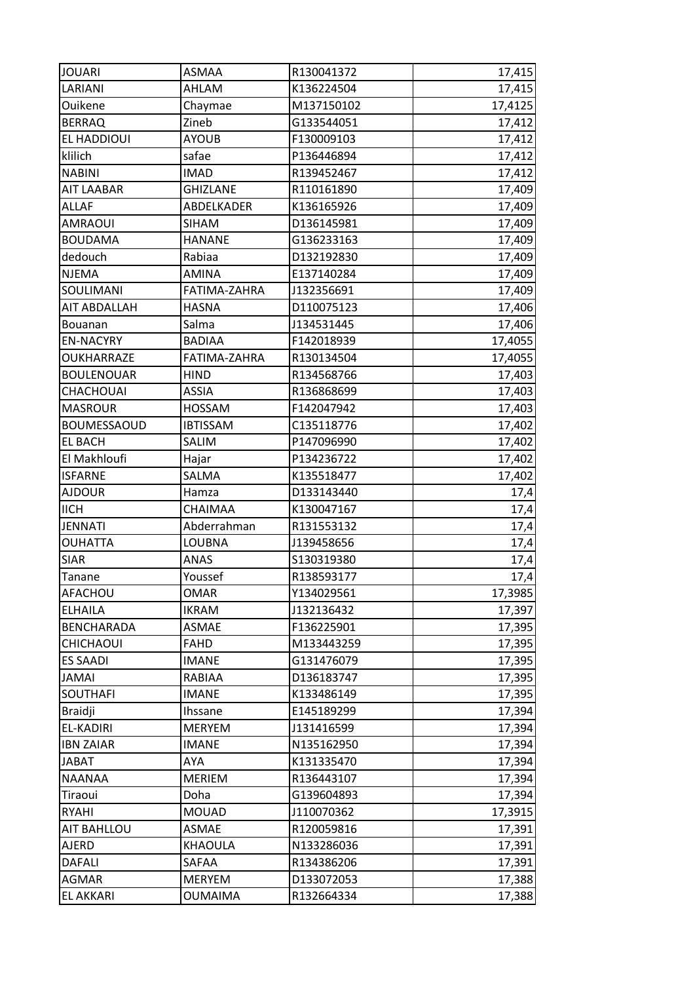| <b>JOUARI</b>      | ASMAA           | R130041372 | 17,415  |
|--------------------|-----------------|------------|---------|
| LARIANI            | AHLAM           | K136224504 | 17,415  |
| Ouikene            | Chaymae         | M137150102 | 17,4125 |
| <b>BERRAQ</b>      | Zineb           | G133544051 | 17,412  |
| EL HADDIOUI        | <b>AYOUB</b>    | F130009103 | 17,412  |
| klilich            | safae           | P136446894 | 17,412  |
| <b>NABINI</b>      | <b>IMAD</b>     | R139452467 | 17,412  |
| <b>AIT LAABAR</b>  | <b>GHIZLANE</b> | R110161890 | 17,409  |
| <b>ALLAF</b>       | ABDELKADER      | K136165926 | 17,409  |
| <b>AMRAOUI</b>     | <b>SIHAM</b>    | D136145981 | 17,409  |
| <b>BOUDAMA</b>     | <b>HANANE</b>   | G136233163 | 17,409  |
| dedouch            | Rabiaa          | D132192830 | 17,409  |
| <b>NJEMA</b>       | <b>AMINA</b>    | E137140284 | 17,409  |
| SOULIMANI          | FATIMA-ZAHRA    | J132356691 | 17,409  |
| AIT ABDALLAH       | <b>HASNA</b>    | D110075123 | 17,406  |
| <b>Bouanan</b>     | Salma           | J134531445 | 17,406  |
| <b>EN-NACYRY</b>   | <b>BADIAA</b>   | F142018939 | 17,4055 |
| OUKHARRAZE         | FATIMA-ZAHRA    | R130134504 | 17,4055 |
| <b>BOULENOUAR</b>  | <b>HIND</b>     | R134568766 | 17,403  |
| CHACHOUAI          | ASSIA           | R136868699 | 17,403  |
| <b>MASROUR</b>     | HOSSAM          | F142047942 | 17,403  |
| <b>BOUMESSAOUD</b> | <b>IBTISSAM</b> | C135118776 | 17,402  |
| <b>EL BACH</b>     | SALIM           | P147096990 | 17,402  |
| El Makhloufi       | Hajar           | P134236722 | 17,402  |
| <b>ISFARNE</b>     | SALMA           | K135518477 | 17,402  |
| <b>AJDOUR</b>      | Hamza           | D133143440 | 17,4    |
| <b>IICH</b>        | CHAIMAA         | K130047167 | 17,4    |
| <b>JENNATI</b>     | Abderrahman     | R131553132 | 17,4    |
| <b>OUHATTA</b>     | LOUBNA          | J139458656 | 17,4    |
| <b>SIAR</b>        | ANAS            | S130319380 | 17,4    |
| Tanane             | Youssef         | R138593177 | 17,4    |
| AFACHOU            | OMAR            | Y134029561 | 17,3985 |
| <b>ELHAILA</b>     | <b>IKRAM</b>    | J132136432 | 17,397  |
| <b>BENCHARADA</b>  | ASMAE           | F136225901 | 17,395  |
| CHICHAOUI          | FAHD            | M133443259 | 17,395  |
| <b>ES SAADI</b>    | <b>IMANE</b>    | G131476079 | 17,395  |
| <b>JAMAI</b>       | RABIAA          | D136183747 | 17,395  |
| <b>SOUTHAFI</b>    | <b>IMANE</b>    | K133486149 | 17,395  |
| <b>Braidji</b>     | Ihssane         | E145189299 | 17,394  |
| EL-KADIRI          | <b>MERYEM</b>   | J131416599 | 17,394  |
| <b>IBN ZAIAR</b>   | <b>IMANE</b>    | N135162950 | 17,394  |
| <b>JABAT</b>       | AYA             | K131335470 | 17,394  |
| NAANAA             | <b>MERIEM</b>   | R136443107 | 17,394  |
| Tiraoui            | Doha            | G139604893 | 17,394  |
| <b>RYAHI</b>       | <b>MOUAD</b>    | J110070362 | 17,3915 |
| <b>AIT BAHLLOU</b> | ASMAE           | R120059816 | 17,391  |
| AJERD              | <b>KHAOULA</b>  | N133286036 | 17,391  |
| <b>DAFALI</b>      | SAFAA           | R134386206 | 17,391  |
| AGMAR              | <b>MERYEM</b>   | D133072053 | 17,388  |
|                    |                 |            |         |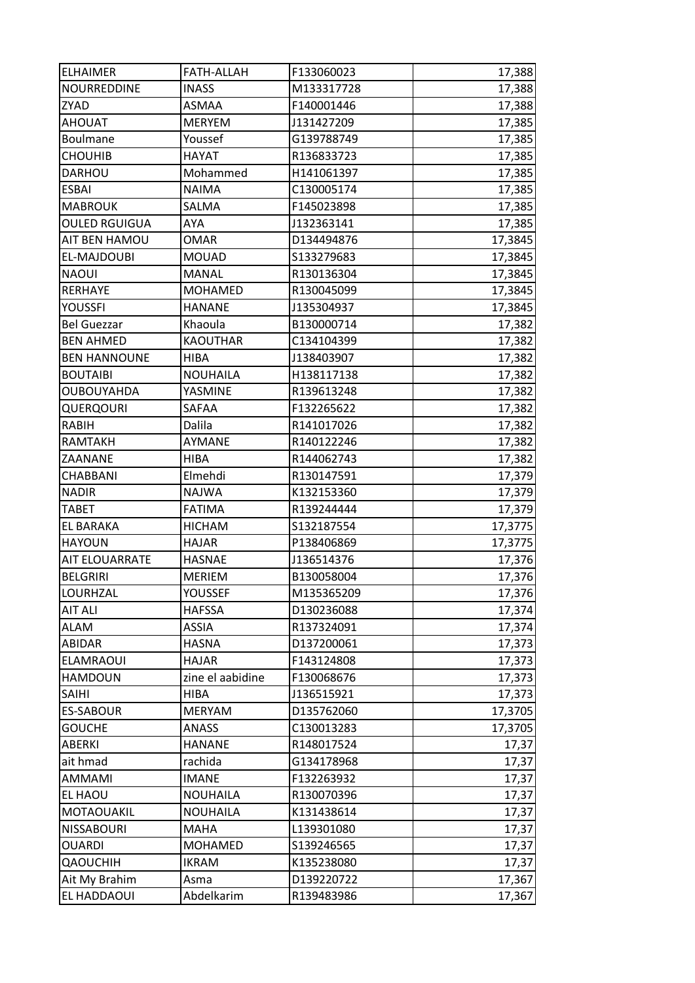| <b>ELHAIMER</b>      | <b>FATH-ALLAH</b>  | F133060023 | 17,388  |
|----------------------|--------------------|------------|---------|
| NOURREDDINE          | <b>INASS</b>       | M133317728 | 17,388  |
| ZYAD                 | ASMAA              | F140001446 | 17,388  |
| <b>AHOUAT</b>        | <b>MERYEM</b>      | J131427209 | 17,385  |
| Boulmane             | Youssef            | G139788749 | 17,385  |
| <b>CHOUHIB</b>       | <b>HAYAT</b>       | R136833723 | 17,385  |
| DARHOU               | Mohammed           | H141061397 | 17,385  |
| <b>ESBAI</b>         | <b>NAIMA</b>       | C130005174 | 17,385  |
| <b>MABROUK</b>       | SALMA              | F145023898 | 17,385  |
| <b>OULED RGUIGUA</b> | AYA                | J132363141 | 17,385  |
| AIT BEN HAMOU        | <b>OMAR</b>        | D134494876 | 17,3845 |
| EL-MAJDOUBI          | <b>MOUAD</b>       | S133279683 | 17,3845 |
| <b>NAOUI</b>         | MANAL              | R130136304 | 17,3845 |
| RERHAYE              | <b>MOHAMED</b>     | R130045099 | 17,3845 |
| YOUSSFI              | <b>HANANE</b>      | J135304937 | 17,3845 |
| <b>Bel Guezzar</b>   | Khaoula            | B130000714 | 17,382  |
| <b>BEN AHMED</b>     | <b>KAOUTHAR</b>    | C134104399 | 17,382  |
| <b>BEN HANNOUNE</b>  | HIBA               | J138403907 | 17,382  |
| <b>BOUTAIBI</b>      | <b>NOUHAILA</b>    | H138117138 | 17,382  |
| OUBOUYAHDA           | YASMINE            | R139613248 | 17,382  |
| QUERQOURI            | SAFAA              | F132265622 | 17,382  |
| <b>RABIH</b>         | Dalila             | R141017026 | 17,382  |
| <b>RAMTAKH</b>       | AYMANE             | R140122246 | 17,382  |
| ZAANANE              | <b>HIBA</b>        | R144062743 | 17,382  |
| CHABBANI             | Elmehdi            | R130147591 | 17,379  |
| <b>NADIR</b>         | <b>NAJWA</b>       | K132153360 | 17,379  |
| <b>TABET</b>         | <b>FATIMA</b>      | R139244444 | 17,379  |
| <b>EL BARAKA</b>     | <b>HICHAM</b>      | S132187554 | 17,3775 |
| <b>HAYOUN</b>        | <b>HAJAR</b>       | P138406869 | 17,3775 |
| AIT ELOUARRATE       | <b>HASNAE</b>      | J136514376 | 17,376  |
| <b>BELGRIRI</b>      | <b>MERIEM</b>      | B130058004 | 17,376  |
| LOURHZAL             | YOUSSEF            | M135365209 | 17,376  |
| <b>AIT ALI</b>       | <b>HAFSSA</b>      | D130236088 | 17,374  |
| <b>ALAM</b>          | <b>ASSIA</b>       | R137324091 | 17,374  |
| ABIDAR               | <b>HASNA</b>       | D137200061 | 17,373  |
| ELAMRAOUI            | <b>HAJAR</b>       | F143124808 | 17,373  |
| <b>HAMDOUN</b>       | zine el aabidine   | F130068676 | 17,373  |
| <b>SAIHI</b>         | <b>HIBA</b>        | J136515921 | 17,373  |
| <b>ES-SABOUR</b>     | <b>MERYAM</b>      | D135762060 | 17,3705 |
| <b>GOUCHE</b>        | <b>ANASS</b>       | C130013283 | 17,3705 |
| <b>ABERKI</b>        | <b>HANANE</b>      | R148017524 | 17,37   |
| ait hmad             | rachida            | G134178968 | 17,37   |
| AMMAMI               | <b>IMANE</b>       | F132263932 | 17,37   |
| EL HAOU              | <b>NOUHAILA</b>    | R130070396 | 17,37   |
| MOTAOUAKIL           | <b>NOUHAILA</b>    | K131438614 | 17,37   |
| <b>NISSABOURI</b>    | <b>MAHA</b>        | L139301080 | 17,37   |
| <b>OUARDI</b>        | MOHAMED            | S139246565 | 17,37   |
| <b>QAOUCHIH</b>      | <b>IKRAM</b>       | K135238080 | 17,37   |
| Ait My Brahim        |                    | D139220722 | 17,367  |
| EL HADDAOUI          | Asma<br>Abdelkarim |            |         |